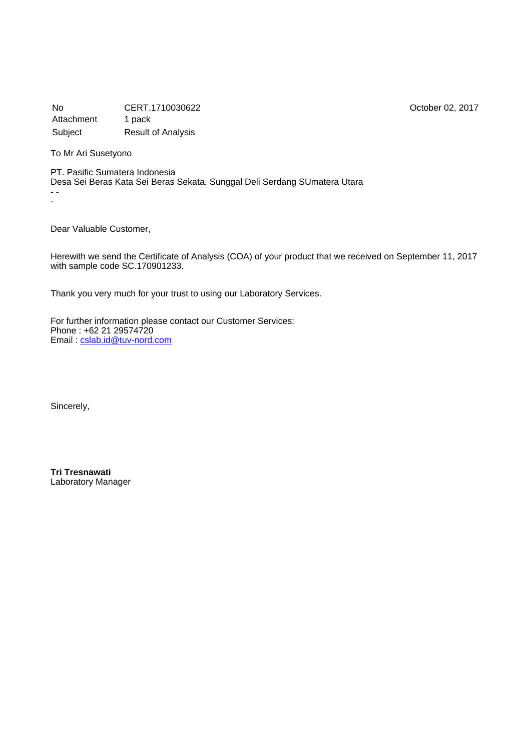No CERT.1710030622 October 02, 2017 Attachment 1 pack Subject Result of Analysis

To Mr Ari Susetyono

PT. Pasific Sumatera Indonesia Desa Sei Beras Kata Sei Beras Sekata, Sunggal Deli Serdang SUmatera Utara - - -

Dear Valuable Customer,

Herewith we send the Certificate of Analysis (COA) of your product that we received on September 11, 2017 with sample code SC.170901233.

Thank you very much for your trust to using our Laboratory Services.

For further information please contact our Customer Services: Phone : +62 21 29574720 Email : [cslab.id@tuv-nord.com](mailto:cslab.id@tuv-nord.com)

Sincerely,

**Tri Tresnawati** Laboratory Manager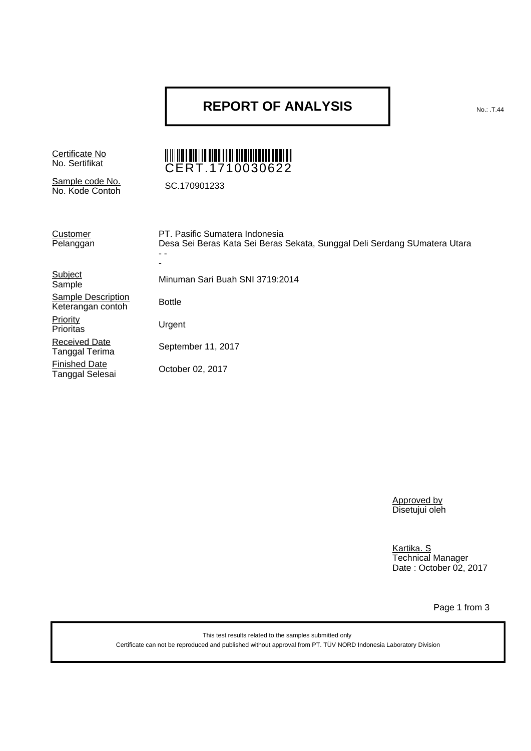### **REPORT OF ANALYSIS**

Certificate No<br>No. Sertifikat

Sample code No. No. Kode Contoh SC.170901233

# NO. 2010 | 2010 | 2020 | 2021 | 2021 | 2021 | 2021 | 2022 | 2022 | 2022 | 2022 | 2022 | 2022 | 2022 | 2022 | 20

| Customer<br>Pelanggan                          | PT. Pasific Sumatera Indonesia<br>Desa Sei Beras Kata Sei Beras Sekata, Sunggal Deli Serdang SUmatera Utara |
|------------------------------------------------|-------------------------------------------------------------------------------------------------------------|
| Subject<br>Sample                              | Minuman Sari Buah SNI 3719:2014                                                                             |
| <b>Sample Description</b><br>Keterangan contoh | <b>Bottle</b>                                                                                               |
| Priority<br>Prioritas                          | Urgent                                                                                                      |
| <b>Received Date</b><br>Tanggal Terima         | September 11, 2017                                                                                          |
| <b>Finished Date</b><br>Tanggal Selesai        | October 02, 2017                                                                                            |

Approved by Disetujui oleh

Kartika. S Technical Manager Date : October 02, 2017

Page 1 from 3

This test results related to the samples submitted only Certificate can not be reproduced and published without approval from PT. TÜV NORD Indonesia Laboratory Division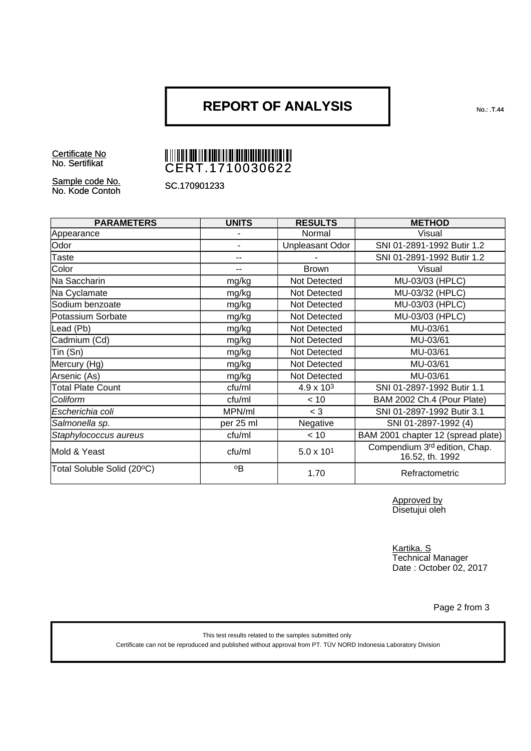### **REPORT OF ANALYSIS**

Certificate No<br>No. Sertifikat

# NO. 2010 | 2010 | 2020 | 2020 | 2021 | 2021 | 2021 | 2021 | 2021 | 2021 | 2021 | 2021 | 2021 | 2021 | 2021 | 20

Sample code No. No. Kode Contoh SC.170901233

| <b>PARAMETERS</b>          | <b>UNITS</b> | <b>RESULTS</b>      | <b>METHOD</b>                                    |
|----------------------------|--------------|---------------------|--------------------------------------------------|
| Appearance                 |              | Normal              | Visual                                           |
| Odor                       |              | Unpleasant Odor     | SNI 01-2891-1992 Butir 1.2                       |
| Taste                      | --           |                     | SNI 01-2891-1992 Butir 1.2                       |
| Color                      | --           | <b>Brown</b>        | Visual                                           |
| Na Saccharin               | mg/kg        | Not Detected        | MU-03/03 (HPLC)                                  |
| Na Cyclamate               | mg/kg        | Not Detected        | MU-03/32 (HPLC)                                  |
| Sodium benzoate            | mg/kg        | Not Detected        | MU-03/03 (HPLC)                                  |
| Potassium Sorbate          | mg/kg        | Not Detected        | MU-03/03 (HPLC)                                  |
| Lead (Pb)                  | mg/kg        | Not Detected        | MU-03/61                                         |
| Cadmium (Cd)               | mg/kg        | Not Detected        | MU-03/61                                         |
| Tin (Sn)                   | mg/kg        | Not Detected        | MU-03/61                                         |
| Mercury (Hg)               | mg/kg        | Not Detected        | MU-03/61                                         |
| Arsenic (As)               | mg/kg        | Not Detected        | MU-03/61                                         |
| <b>Total Plate Count</b>   | cfu/ml       | $4.9 \times 10^{3}$ | SNI 01-2897-1992 Butir 1.1                       |
| Coliform                   | cfu/ml       | < 10                | BAM 2002 Ch.4 (Pour Plate)                       |
| Escherichia coli           | MPN/ml       | $<$ 3               | SNI 01-2897-1992 Butir 3.1                       |
| Salmonella sp.             | per 25 ml    | Negative            | SNI 01-2897-1992 (4)                             |
| Staphylococcus aureus      | cfu/ml       | < 10                | BAM 2001 chapter 12 (spread plate)               |
| Mold & Yeast               | cfu/ml       | $5.0 \times 10^{1}$ | Compendium 3rd edition, Chap.<br>16.52, th. 1992 |
| Total Soluble Solid (20°C) | °Β           | 1.70                | Refractometric                                   |

Approved by Disetujui oleh

Kartika. S Technical Manager Date : October 02, 2017

Page 2 from 3

This test results related to the samples submitted only Certificate can not be reproduced and published without approval from PT. TÜV NORD Indonesia Laboratory Division